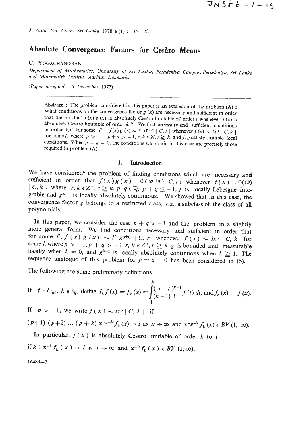*J. Natn. Sci. Coun. Sri Lanka* 1978 6 (1) : 15-22

# **Absolute Convergence Factors for** *Ceshro* **Means**

## *C.* **YOGACHANDRAN**

*Department* **of** *Mathematics, University of' Sri Lanka, Peradeniya Campus, Peradeniya, Sri* **Lanka**  and Matematisk Institut, Aarhus, Denmark.

(Paper accepted : 5 *December 1977)* 

Abstract : The problem considered in this paper is an extension of the problem  $(A)$ : What conditions on the convergence factor  $g(x)$  are necessary and sufficient in order that the product  $f(x) g(x)$  is absolutely Cesaro limitable of order *r* whenever  $f(x)$  is absolutely Cesaro limitable of order  $k$  ? We find necessary and sufficient conditions in order that, for some  $l'$ ;  $f(x) g(x) \sim l' x^{p+q} | C, r |$  whenever  $f(x) \sim l x^p | C, k |$ for some *I*, where  $p > -1$ ,  $p+q > -1$ ,  $r, k \in N$ ,  $r \ge k$ , and  $f, g$  satisfy suitable local conditions. When  $p = q = 0$ , the conditions we obtain in this case are precisely those required in problem (A).

#### **1. Introduction**

We have considered<sup>6</sup> the problem of finding conditions which are necessary and sufficient in order that  $f(x)g(x) = 0$   $(x^{p+q}) | C, r |$  whenever  $f(x) = 0(x^p)$  $\vert C, k \vert$ , where  $r, k \in \mathbb{Z}^+, r \geq k$ ,  $p, q \in \mathbb{R}$ ,  $p + q \leq -1$ ,  $f$  is locally Lebesgue integrable and  $g^{k-1}$  is locally absolutely continuous. We showed that in this case, the convergence factor g belongs to a restricted class, viz., a subclass of the class of all polynomials.

In this paper, we consider the case  $p + q > -1$  and the problem in a slightly more general form. We find conditions necessary and sufficient in order that for some *I'*,  $f(x) g(x) \sim l' x^{p+q} |C, r|$  whenever  $f(x) \sim l x^p |C, k|$  for some *l*, where  $p > -1$ ,  $p + q > -1$ ,  $r$ ,  $k \in \mathbb{Z}^+$ ,  $r \geq k$ ,  $g$  is bounded and measurable locally when  $k = 0$ , and  $g^{k-1}$  is locally absolutely continuous when  $k \ge 1$ . The sequence analogue of this problem for  $p = q = 0$  has been considered in (5).

The following are some preliminary definitions :

If 
$$
f \in L_{1_0c}
$$
,  $k \in \mathbb{N}$ , define  $I_k f(x) = f_k(x) = \int_{1}^{x} \frac{(x-t)^{k-1}}{(k-1)!} f(t) dt$ , and  $f_0(x) = f(x)$ .

If  $p > -1$ , we write  $f(x) \sim lx^p \mid C, k \mid$  if

 $(p+1)$   $(p+2)$  ...  $(p+k)$   $x^{-p-k} f_k(x) \rightarrow l$  as  $x \rightarrow \infty$  and  $x^{-p-k} f_k(x) \in BV(1, \infty)$ .

In particular,  $f(x)$  is absolutely Cesaro limitable of order k to 1 if  $k! x^{-k} f_k(x) \rightarrow l$  as  $x \rightarrow \infty$  and  $x^{-k} f_k(x) \in BV (1, \infty)$ .

 $16489 - 3$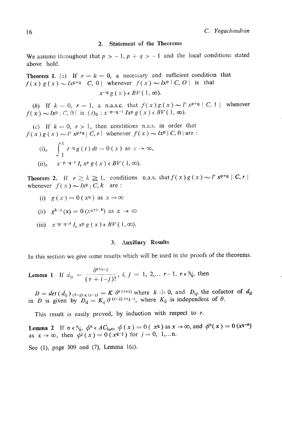#### 2. Statement of the Theorems

We assume throughout that  $p > -1$ ,  $p + q > -1$  and the local conditions stated above hold.

**Theorem 1.** (a) If  $r = k = 0$ , a necessary and sufficient condition that  $f(x) g(x) \sim l x^{p+q} C$ , 0 whenever  $f(x) \sim l x^p C$ , 0 is that  $x^{-q}g(x) \in BV(1, \infty).$ 

(b) If  $k = 0$ ,  $r = 1$ , a n.a.s.c. that  $f(x)g(x) \sim l' x^{p+q} | C, 1 |$  whenever<br>  $f'(x) \sim lx^p | C, 0 |$  is  $(i)_b : x^{-p-q-1} I x^p g(x) \in BV(1, \infty)$ .

(c) If  $k = 0$ ,  $r > 1$ , then conditions n.a.s. in order that  $f(x) g(x) \sim l' x^{p+q} | C, r |$  whenever  $f(x) \sim l x^p | C, 0 |$  are :

(i)<sub>e</sub> 
$$
\int_{1}^{x} t^{-q} g(t) dt = 0 (x) \text{ as } x \to \infty,
$$
  
(ii)<sub>e</sub> 
$$
x^{-p-q-r} I_r x^p g(x) \in BV(1, \infty).
$$

**Theorem 2.** If  $r \ge k \ge 1$ , conditions n.a.s. that  $f(x)g(x) \sim l' x^{p+q} | C, r |$ whenever  $f(x) \sim lx^p \cdot C, k$  are :

(i)  $g(x) = 0(x^q)$  as  $x \rightarrow \infty$ 

(ii) 
$$
g^{k-1}(x) = 0 \ (x^{q+1-k}) \text{ as } x \to \infty
$$

(iii)  $x^{-p-q-r} I_r x^p g(x) \in BV(1, \infty).$ 

### **3. Auxiliary Results**

In this section we give some results which will be used in the proofs of the theorems.

**Lemma 1** If  $d_{ij} = \frac{\theta^{r+1-j}}{(r+i-j)!}$ , *i*,  $j = 1, 2,... r-1$ ,  $r \in \mathbb{N}$ , then

 $D = det (d_{ij})_{(r-1) \times (r-1)} = K \theta^{r(r+1)}$  where  $k = 0$ , and  $D_{ij}$ , the cofactor of  $d_{ij}$  in *D* is given by  $D_{ij} = K_{ij} \theta^{(r-2) r+j-1}$ , where  $K_{ij}$  is independent of  $\theta$ .

This result is easily proved, by induction with respect to *r.* 

**Lemma 2** If  $n \in \mathbb{N}$ ,  $\phi^n \in AC_{loc}$ ,  $\phi(x) = 0$  ( $x^q$ ) as  $x \to \infty$ , and  $\phi^n(x) = 0$   $(x^{q-n})$ as  $x \to \infty$ , then  $\phi^{j}(x) = 0$  ( $x^{q-j}$ ) for  $j = 0, 1,...$ n.

See (I), page *309* and **(7),** Lemma l(c).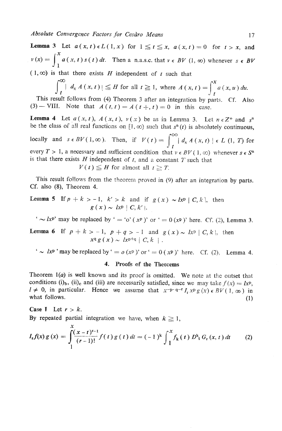**Lemma 3** Let  $a(x, t) \in L(1, x)$  for  $1 \le t \le x$ ,  $a(x, t) = 0$  for  $t > x$ , and  $v(x) = \int_{1}^{x} a(x, t) s(t) dt$ . Then a n.a.s.c. that  $v \in BV$  (1,  $\infty$ ) whenever  $s \in BV$  $(1, \infty)$  is that there exists *H* independent of t such that

$$
\int_{t}^{\infty} |d_{x} A(x, t)| \leq H \text{ for all } t \geq 1, \text{ where } A(x, t) = \int_{t}^{x} a(x, u) du.
$$

This result follows from (4) Tneorem **3** after an integration by parts. Cf. **Also**  (3) – VIII. Note that  $A(t, t) = A(t +, t) = 0$  in this case.

**Lemma 4** Let  $a(x, t)$ ,  $A(x, t)$ ,  $v(x)$  be as in Lemma 3. Let  $n \in \mathbb{Z}^+$  and  $s^n$ be the class of all real functions on  $[1, \infty)$  such that  $s^n(t)$  is absolutely continuous,

ocally and  $s \in BV(1,\infty)$ . Then, if  $V(t)= \int_{0}^{\infty} |d_{x}A(x,t)| \in L(1, T)$  for *t*  every  $T > 1$ , a necessary and sufficient condition that  $v \in BV(1, \infty)$  whenever  $s \in S^n$ is that there exists  $H$  independent of  $t$ , and a constant  $T$  such that  $V'(t) \leq H$  for almost all  $t \geq T$ .

$$
V(t) \leq H
$$
 for almost all  $t \geq T$ 

This result follows from the theorem proved in (9) after an integration by parts. **Cf.** also **(8),** Theorem 4.

**Lemma 5** If 
$$
p + k > -1
$$
,  $k' > k$  and if  $g(x) \sim lx^p | C, k$ , then  $g(x) \sim lx^p | C, k'$ .

 $\sim$  *IxP*' may be replaced by ' = 'o' ( $x^p$ )' or ' = 0 ( $x^p$ )' here. Cf. (2), Lemma 3.

**Lemma 6** If 
$$
p + k > -1
$$
,  $p + q > -1$  and  $g(x) \sim lx^p | C, k$ , then  $x^q g(x) \sim lx^{p+q} | C, k |$ .

 $\mathbf{I} \sim l\mathbf{x}^{\mathbf{p}}$  'may be replaced by  $\mathbf{I} = o(\mathbf{x}^{\mathbf{p}})$  or  $\mathbf{I} = o(\mathbf{x}^{\mathbf{p}})$  here. Cf. (2), Lemma 4.

### **4. Proofs of the Theorems**

Theorem  $l(a)$  is well known and its proof is omitted. We note at the outset that conditions (i)<sub>b</sub>, (ii)<sub>c</sub> and (iii) are necessarily satisfied, since we may take  $f(x) = Ix^p$ ,  $I \neq 0$ , in particular. Hence we assume that  $x^{-p-q-1} I_r x^p g(x) \in BV(1, \infty)$  in what follows. (1)

# **Case I** Let  $r > k$ . By repeated partial integration we have, when  $k \geq 1$ ,

$$
I_{\mathbf{r}}f(x) g(x) = \int_{1}^{x} \frac{(x-t)^{r-1}}{(r-1)!} f(t) g(t) dt = (-1)^{k} \int_{1}^{x} f_{k}(t) D^{k}f_{r}(x,t) dt \qquad (2)
$$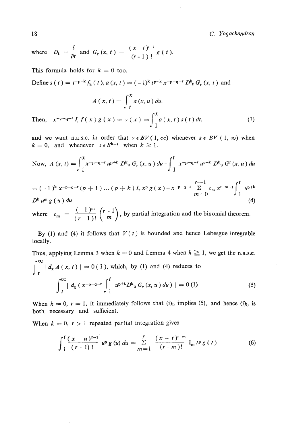*C. Yogachandran* 

where 
$$
D_t = \frac{\partial}{\partial t}
$$
 and  $G_r(x, t) = \frac{(x-t)^{r-1}}{(r-1)!} g(t)$ .

This formula holds for  $k=0$  too.

Define  $s(t) = t^{-p-k} f_k(t)$ ,  $a(x, t) = (-1)^k t^{p+k} x^{-p-q-t} D_k^k G_r(x, t)$  and

$$
A(x, t) = \int_{t}^{x} a(x, u) du.
$$

Then,  $x^{-p-q-r} I_r f(x) g(x) = v(x) = \int_{1}^{x} a(x,t) s(t) dt$ ,  $(3)$ 

and we want n.a.s.c. in order that  $v \in BV(1, \infty)$  whenever  $s \in BV(1, \infty)$  when  $k = 0$ , and whenever  $s \in S^{k-1}$  when  $k \ge 1$ .

Now, 
$$
A(x, t) = \int_{1}^{x} x^{-p-q-r} u^{p+k} D_{u}^{k} G_{r}(x, u) du - \int_{1}^{t} x^{-p-q-r} u^{p+k} D_{u}^{k} G^{r}(x, u) du
$$

$$
= (-1)^{k} x^{-p-q-r} (p+1) \dots (p+k) I_{r} x^{p} g(x) - x^{-p-q-r} \sum_{m=0}^{r-1} c_{m} x^{r-m-1} \int_{1}^{t} u^{p+k}
$$
  
*D<sup>k</sup> u<sup>m</sup> g(u) du* (4)

where  $c_m = \frac{(-1)^m}{(r-1)!} {r-1 \choose m}$ , by partial integration and the binomial theorem.

By (1) and (4) it follows that  $V(t)$  is bounded and hence Lebesgue integrable locally.

Thus, applying Lemma 3 when  $k = 0$  and Lemma 4 when  $k \ge 1$ , we get the n.a.s.c.  $\int_{1}^{\infty} | d_{x} A(x, t) | = 0 (1)$ , which, by (1) and (4) reduces to  $\int_{t}^{\infty} | d_{x} (x^{-p-q-r} \int_{1}^{t} u^{p+k} D^{k} u G_{r} (x, u) du ) | = 0$  (1)  $(5)$ 

When  $k = 0$ ,  $r = 1$ , it immediately follows that  $(i)$ <sub>b</sub> implies (5), and hence  $(i)$ <sub>b</sub> is both necessary and sufficient.

When  $k = 0$ ,  $r > 1$  repeated partial integration gives

$$
\int_{1}^{t} \frac{(x-u)^{r-1}}{(r-1)!} u^{p} g(u) du = \sum_{m=1}^{r} \frac{(x-t)^{r-m}}{(r-m)!} I_{m} t^{p} g(t)
$$
(6)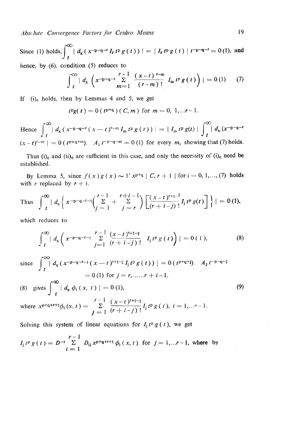*Absc,lute Convergence Factors .for Cesdro Means* **19** 

Since (1) holds,  $\int_{0}^{\infty} | d_{x} (x^{-p-q-r} I_{r} t^{p} g(t)) | = | I_{r} t^{p} g(t) | t^{-p-q-r} = 0$  (1), and **hence, by** *(6),* **condition (5) reduces to** 

$$
\int_{t}^{\infty} | d_{x} \left( x^{-p-q-r} \sum_{m=1}^{r-1} \frac{(x-t)^{r-m}}{(r-m)!} I_{m} t^{p} g(t) \right) | = 0 (1) \qquad (7)
$$

If (i)<sub>c</sub> holds, then by Lemmas 4 and 5, we get

 $t^{p}g(t) = 0$  ( $t^{p+q}$ )(C, m) for  $m = 0, 1,...r-1$ .

Hence  $\int_{-1}^{\infty} |d_{x} (x^{-p-q-r} (x-t)^{r-m} I_{m} t^{p} g(t))| = |I_{m} t^{p} g(t)| \int_{-1}^{\infty} |d_{x} (x^{-p-q-r} g(t))|$  $(x - t)^{r-m}$  = 0 ( $t^{p+q+m}$ ).  $A_1 t^{-p-q-m} = 0$  (1) for every *m*, showing that (7) holds.

**Thus (i), and (ii), are sufficient in** this **case, and only the necessity or (i), need be established.** 

**By** Lemma 5, since  $f(x)g(x) \sim 1^{x} p+q$   $C, r+1$  for  $i=0,1,..., (7)$  holds with *r* replaced by  $r + i$ .

Thus 
$$
\int_{t}^{\infty} |d_{x} \left( x^{-p-q-r-1} \left( \sum_{j=1}^{r-1} + \sum_{j=r}^{r+i-1} \right) \left[ \frac{(x-t)^{r+1}}{(r+i-j)!} I_{j} t^{p} g(t) \right] \right) | = 0 \text{ (1)},
$$

**which** reduces **to** 

$$
\int_{t}^{\infty} | d_{x} \left( x^{-p-q-r-i} \sum_{j=1}^{r-1} \frac{(x-t)^{r+1-j}}{(r+i-j)!} I_{j} t^{p} g(t) \right) | = 0 (1), \qquad (8)
$$

since 
$$
\int_{t}^{\infty} | d_{x} (x^{-p-q-r-i} (x-t)^{r+1-i} I_{j} t^{p} g(t)) | = 0 (t^{p+q+j}). A_{2} t^{-p-q-i}
$$

$$
= 0 (1) \text{ for } j = r, \dots, r + i - 1.
$$

(8) gives  $\int_{t}^{\infty} | d_x \phi_i(x, t) | = 0$  (1), where  $x^{p+q+r+1}\phi_i(x, t) = \sum_{i=1}^{r-1} \frac{(x-t)^{r+i-j}}{(r+i-j)!} I_i t^p g(t), i = 1, ...r-1.$ 

Solving this system of linear equations for  $I_i t^p g(t)$ , we get

$$
I_{j} t^{p} g(t) = D^{-1} \sum_{i=1}^{r-1} D_{ij} x^{p+q+r+1} \phi_{i}(x, t) \text{ for } j = 1,...r-1, \text{ where by}
$$

**(9)**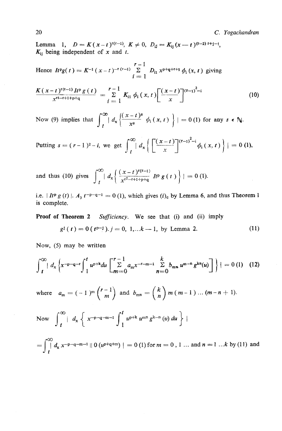**Lemma** 1,  $D = K(x-t)^{r(r-1)}$ ,  $K \neq 0$ ,  $D_{i,j} = K_{i,j}(x-t)^{(r-2) r+j-i}$ ,  $K_{ii}$  being independent of x and t.

Hence  $I_t^p g(t) = K^{-1} (x - t)^{-r(r-1)} \sum_{n=1}^{r-1} D_{n} x^{p+q+r+1} \phi_i(x, t)$  giving  $i=1$ 

$$
\frac{K(x-t)^{r(t-1)}H^p g(t)}{x^{rt-r+1}+p+q} = \sum_{i=1}^{r-1} K_{i1} \phi_i(x,t) \left[ \frac{(x-t)}{x} \right]^{(r-1)^2-i}
$$
(10)

Now (9) implies that  $\int_{t}^{\infty} | d_x \left\{ \frac{(x-t)^8}{x^8} \phi_i(x, t) \right\} | = 0$  (1) for any  $s \in \mathbb{N}$ .

**Putting s** =  $(r-1)^2 - i$ , we get  $\int_{t}^{\infty} | d_x \left\{ \left[ \frac{(x-t)}{x} \right]^{(x-1)^2 - i} \phi_i(x,t) \right\} | = 0$  (1),

and thus (10) gives  $\int_{1}^{\infty} | d_x \left( \frac{(x-t)^{r(r-1)}}{x^{r^2-r+1+p+q}} \right) d_x \left( \frac{(x-t)^{r(r-1)}}{x^{r^2-r+1+p+q}} \right) dx$  = 0 (1).

i.e.  $I^{IP}g(t)$  |.  $A_3 t^{-p-q-1} = 0$  (1), which gives  $(i)$ <sub>c</sub> by Lemma 6, and thus Theorem 1 **is complete.** 

**Proof of Theorem 2** Sufficiency. We see that (i) and (ii) imply

$$
g^{j}(t) = 0(t^{p-1}), j = 0, 1,...k-1, by Lemma 2.
$$
 (11)

**Now, (5) may be written** 

$$
\int_{t}^{\infty} |d_{x} \left\{ x^{-p-q-r} \int_{1}^{t} u^{p+k} du \left[ \sum_{m=0}^{r-1} a_{m} x^{-r-m-1} \sum_{n=0}^{k} b_{m} u^{m-n} g^{kn}(u) \right] \right\} | = 0 \tag{12}
$$

where  $a_m = (-1)^m {r-1 \choose m}$  and  $b_{mn} = {k \choose n} m (m-1) ... (m-n+1)$ .

Now 
$$
\int_{t}^{\infty} | d_x \{ x^{-p-q-m-1} \int_{1}^{t} u^{p+k} u^{m} g^{k-n} (u) du \} |
$$

 $\int_{0}^{\infty} \int_{-\infty}^{0} d_{x} x^{-p-q-m-1} |0 (u^{p+q+m})| = 0$  (1) for  $m = 0, 1...$  and  $n = 1...k$  by (11) and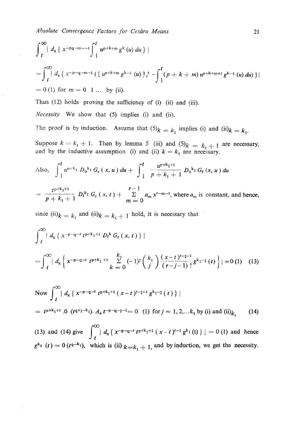$$
\int_{t}^{\infty} |d_{x} \{ x^{-pq-m-1} \int_{1}^{t} u^{p+k+m} g^{k} (u) du \} |
$$
  
= 
$$
\int_{t}^{\infty} |d_{x} \{ x^{-p-q-m-1} ( [u^{p+k+m} g^{k-1} (u) ]_{1}^{t} - \int_{1}^{t} (p+k+m) u^{p+k+m+1} g^{k-1} (u) du ) \} |
$$
  
= 0 (1) for  $m = 0$  1 ... by (ii).

Thus (12) holds proving the sufficiency of (i) (ii) and (iii).

*Necessity* We show that (5) implies (i) and (ii).

The proof is by induction. Assume that  $(5)_k = k_1$  implies (i) and (ii) $k = k_1$ .

Suppose  $k = k_1 + 1$ . Then by lemma 5 (iii) and  $(5)_k = k_1 + 1$  are necessary,

and by the inductive assumption (i) and (ii) 
$$
k = k_1
$$
 are necessary.  
\nAlso, 
$$
\int_{1}^{t} u^{p+k_1} D_{u^{k_1}} G_r(x, u) du + \int_{1}^{t} \frac{u^{p+k_1+1}}{p+k_1+1} D_{u^{k_1}} G_r(x, u) du
$$
\n
$$
= \frac{t^{p+k_1+1}}{p+k_1+1} D_{t^{k_1}} G_r(x, t) + \sum_{m=0}^{r-1} a_m x^{r-m-1}, \text{where } a_m \text{ is constant, and hence,}
$$

since  $(ii)_{k} = k_1$  and  $(ii)_{k} = k_1 + 1$  hold, it is necessary that

$$
= \frac{1}{p+k_1+1} D_t^{k_1} G_r(x,t) + \frac{2}{m} \sum_{j=0}^{n} a_{m} x^{t-m-j}
$$
, where  $a_{m}$  is constant, and hence,  
\nsince (ii) $k = k_1$  and (ii) $k = k_1 + 1$  hold, it is necessary that  
\n
$$
\int_{t}^{\infty} |d_{x} \{ x^{-p-q-r} t^{p+k_1+1} D_t^{k} G_r(x,t) \} |
$$
\n
$$
= \int_{t}^{\infty} |d_{x} \left\{ x^{-p-q-r} t^{p+k_1+1} \sum_{k=0}^{k_1} (-1)^{k} {k_1 \choose j} \frac{(x-t)^{r-1}}{(r-j-1)!} g^{k_1-1}(t) \right\} | = 0 (1) (13)
$$

Now 
$$
\int_{t}^{\infty} |d_{x} \{ x^{-p-q-r} t^{p+k_{1}+1} (x-t)^{r-j-1} g^{k_{1}-j} (t) \} |
$$
  
=  $t^{p+k_{1}+1} .0$   $(t^{q+j-k_{1}}) . d_{4} t^{-p-q-j-1} = 0$  (1) for  $j = 1, 2, ... k_{1}$  by (i) and (ii) $k_{1}$  (14)

(13) and (14) give  $\int_{t}^{\infty} |d_{x} \{ x^{-p-q-r} t^{p+k_{1}+1} (x-t)^{r-1} g^{k_{1}}(t) \} | = 0$  (1) and hence  $g^{k_1}$  (t) = 0 (t<sup>q-k<sub>1</sub>), which is (ii)  $k=k_1+1$ , and by induction, we get the necessity.</sup>